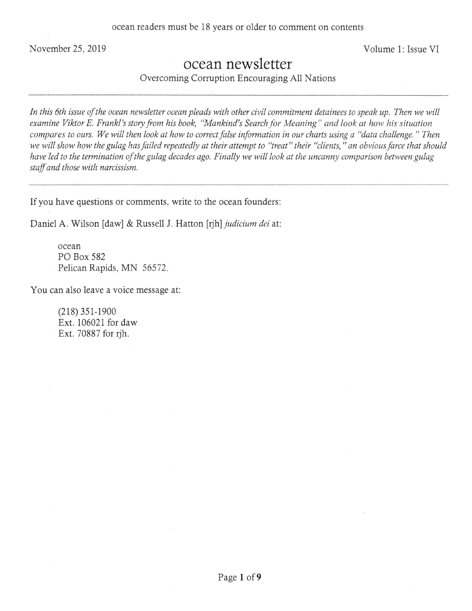November 25, 2019 Volume 1: Issue VI

## ocean newsletter

Overcoming Corruption Encouraging All Nations

In this 6th issue of the ocean newsletter ocean pleads with other civil commitment detainees to speak up. Then we will *examine Viktor E. Frankl's story from his book, "Mankind's Search for Meaning" and look at how his situation compares to ours. We will then look at how to correct false information in our charts using a "data challenge." Then we will show how the gulag has failed repeatedly at their attempt to "treat" their "clients, "an obvious farce that should have led to the termination of the gulag decades ago. Finally we will look at the uncanny comparison between gulag staff and those with narcissism.* 

If you have questions or comments, write to the ocean founders:

Daniel A. Wilson [daw] & Russell J. Hatton [nh] *judicium dei* at:

ocean P0 Box 582 Pelican Rapids, MN 56572.

You can also leave a voice message at:

(218) 351-1900 Ext. 106021 for daw Ext. 70887 for rjh.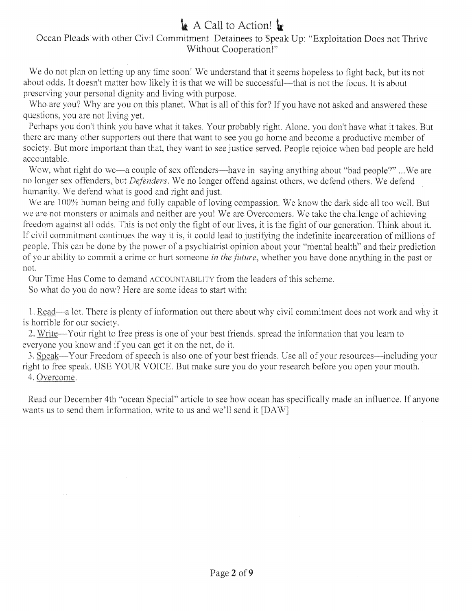# $\mathbf{\mathbf{A}}$  A Call to Action!  $\mathbf{\mathbf{A}}$

#### Ocean Pleads with other Civil Commitment Detainees to Speak Up: "Exploitation Does not Thrive Without Cooperation!"

We do not plan on letting up any time soon! We understand that it seems hopeless to fight back, but *its* not about odds. It doesn't matter how likely it is that we will be successful—that is not the focus. It is about preserving your personal dignity and living with purpose.

Who are you? Why are you on this planet. What is all of this for? If you have not asked and answered these questions, you are not living yet.

Perhaps you don't think you have what it takes. Your probably right. Alone, you don't have what it takes. But there are many other supporters out there that want to see you go home and become a productive member of society. But more important than that, they want to see justice served. People rejoice when bad people are held accountable.

Wow, what right do we—a couple of sex offenders—have in saying anything about "bad people?"... We are no longer sex offenders, but *Defenders.* We no longer offend against others, we defend others. We defend humanity. We defend what is good and right and just.

We are 100% human being and fully capable of loving compassion. We know the dark side all too well. But we are not monsters or animals and neither are you! We are Overcomers. We take the challenge of achieving freedom against all odds. This is not only the fight of our lives, it is the fight of our generation. Think about it. If civil commitment continues the way it is, it could lead to justifying the indefinite incarceration of millions of people. This can be done by the power of a psychiatrist opinion about your "mental health" and their prediction of your ability to commit a crime or hurt someone *in the future,* whether you have done anything in the past or not.

Our Time Has Come to demand ACCOUNTABILITY from the leaders of this scheme.

So what do you do now? Here are some ideas to start with:

1. Read—a lot. There is plenty of information out there about why civil commitment does not work and why it is horrible for our society.

2. Write—Your right to free press is one of your best friends, spread the information that you learn to everyone you know and if you can get it on the net, do it.

3. Speak—Your Freedom of speech is also one of your best friends. Use all of your resources—including your right to free speak. USE YOUR VOICE. But make sure you do your research before you open your mouth. 4. Overcome.

Read our December 4th "ocean Special" article to see how ocean has specifically made an influence. If anyone wants us to send them information, write to us and we'll send it [DAW]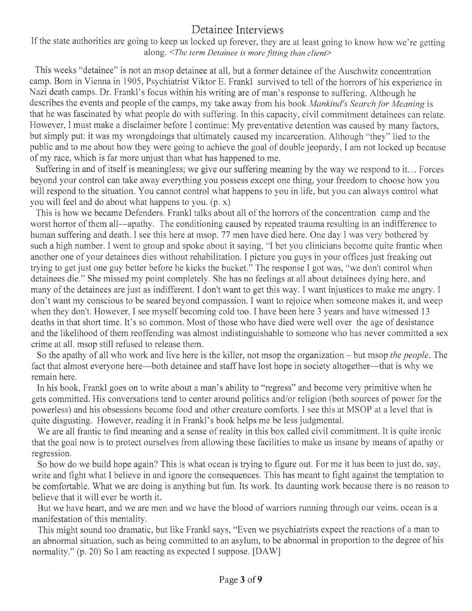#### Detainee Interviews

If the state authorities are going to keep us locked up forever, they are at least going to know how we're getting *along. <The term Detainee is more fitting than client>* 

This weeks "detainee" is not an msop detainee at all, but a former detainee of the Auschwitz concentration camp. Born in Vienna in 1905, Psychiatrist Viktor E. Frankl survived to tell of the horrors of his experience in Nazi death camps. Dr. Frankl's focus within his writing are of man's response to suffering. Although he describes the events and people of the camps, my take away from his book *Mankind's Search for Meaning is*  that he was fascinated by what people do with suffering. In this capacity, civil commitment detainees can relate. However, I must make a disclaimer before I continue: My preventative detention was caused by many factors, but simply put: it was my wrongdoings that ultimately caused my incarceration. Although "they" lied to the public and to me about how they were going to achieve the goal of double jeopardy, I am not locked up because of my race, which is far more unjust than what has happened to me.

Suffering in and of itself is meaningless; we give our suffering meaning by the way we respond to it... Forces beyond your control can take away everything you possess except one thing, your freedom to choose how you will respond to the situation. You cannot control what happens to you in life, but you can always control what you will feel and do about what happens to you. (p. x)

This is how we became Defenders. Frankl talks about all of the horrors of the concentration camp and the worst horror of them all—apathy. The conditioning caused by repeated trauma resulting in an indifference to human suffering and death. I see this here at msop. 77 men have died here. One day I was very bothered by such a high number. I went to group and spoke about it saying, "I bet you clinicians become quite frantic when another one of your detainees dies without rehabilitation. I picture you guys in your offices just freaking out trying to get just one guy better before he kicks the bucket." The response I got was, "we don't control when detainees die." She missed my point completely. She has no feelings at all about detainees dying here, and many of the detainees are just as indifferent. I don't want to get this way. I want injustices to make me angry. I don't want my conscious to be seared beyond compassion. I want to rejoice when someone makes it, and weep when they don't. However, I see myself becoming cold too. I have been here 3 years and have witnessed 13 deaths in that short time. It's so common. Most of those who have died were well over the age of desistance and the likelihood of them reoffending was almost indistinguishable to someone who has never committed a sex crime at all. msop still refused to release them.

So the apathy of all who work and live here is the killer, not msop the organization - but msop *the people.* The fact that almost everyone here—both detainee and staff have lost hope in society altogether—that is why we remain here.

In his book, Frankl goes on to write about a man's ability to "regress" and become very primitive when he gets committed. His conversations tend to center around politics and/or religion (both sources of power for the powerless) and his obsessions become food and other creature comforts. I see this at MSOP at a level that is quite disgusting. However, reading it in Frankl's book helps me be less judgmental.

We are all frantic to find meaning and a sense of reality in this box called civil commitment. It is quite ironic that the goal now is to protect ourselves from allowing these facilities to make us insane by means of apathy or regression.

So how do we build hope again? This is what ocean is trying to figure out. For me it has been to just do, say, write and fight what I believe in and ignore the consequences. This has meant to fight against the temptation to be comfortable. What we are doing is anything but fun. Its work. Its daunting work because there is no reason to believe that it will ever be worth it.

But we have heart, and we are men and we have the blood of warriors running through our veins, ocean is a manifestation of this mentality.

This might sound too dramatic, but like Frankl says, "Even we psychiatrists expect the reactions of a man to an abnormal situation, such as being committed to an asylum, to be abnormal in proportion to the degree of his normality." (p. 20) So I am reacting as expected I suppose. [DAW]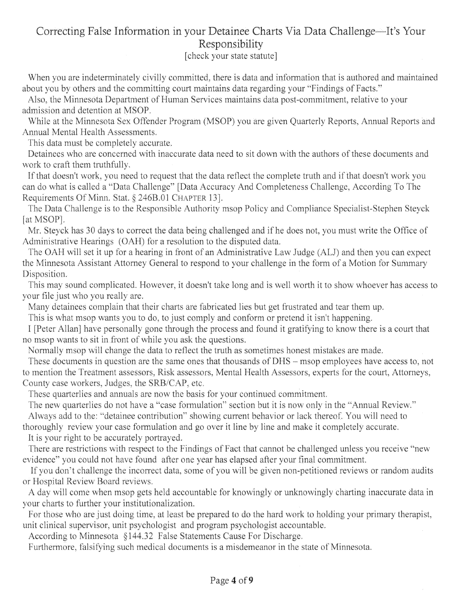## Correcting False Information in your Detainee Charts Via Data Challenge—It's Your Responsibility

[check your state statute]

When you are indeterminately civilly committed, there is data and information that is authored and maintained about you by others and the committing court maintains data regarding your "Findings of Facts."

Also, the Minnesota Department of Human Services maintains data post-commitment, relative to your admission and detention at MSOP.

While at the Minnesota Sex Offender Program (MSOP) you are given Quarterly Reports, Annual Reports and Annual Mental Health Assessments.

This data must be completely accurate.

Detainees who are concerned with inaccurate data need to sit down with the authors of these documents and work to craft them truthfully.

If that doesn't work, you need to request that the data reflect the complete truth and if that doesn't work you can do what is called a "Data Challenge" [Data Accuracy And Completeness Challenge, According To The Requirements Of Minn. Stat. § 246B.01 CHAPTER 13].

The Data Challenge is to the Responsible Authority msop Policy and Compliance Specialist-Stephen Steyck [at MSOP].

Mr. Steyck has 30 days to correct the data being challenged and if he does not, you must write the Office of Administrative Hearings (OAH) for a resolution to the disputed data.

The OAH will set it up for a hearing in front of an Administrative Law Judge (AU) and then you can expect the Minnesota Assistant Attorney General to respond to your challenge in the form of a Motion for Summary Disposition.

This may sound complicated. However, it doesn't take long and is well worth it to show whoever has access to your file just who you really are.

Many detainees complain that their charts are fabricated lies but get frustrated and tear them up.

This is what msop wants you to do, to just comply and conform or pretend it isn't happening.

I [Peter Allan] have personally gone through the process and found it gratifying to know there is a court that no msop wants to sit in front of while you ask the questions.

Normally msop will change the data to reflect the truth as sometimes honest mistakes are made.

These documents in question are the same ones that thousands of DHS - msop employees have access to, not to mention the Treatment assessors, Risk assessors, Mental Health Assessors, experts for the court, Attorneys, County case workers, Judges, the SRB/CAP, etc.

These quarterlies and annuals are now the basis for your continued commitment.

The new quarterlies do not have a "case formulation" section but it is now only in the "Annual Review."

Always add to the: "detainee contribution" showing current behavior or lack thereof. You will need to thoroughly review your case formulation and go over it line by line and make it completely accurate.

It is your right to be accurately portrayed.

There are restrictions with respect to the Findings of Fact that cannot be challenged unless you receive "new evidence" you could not have found after one year has elapsed after your final commitment.

If you don't challenge the incorrect data, some of you will be given non-petitioned reviews or random audits or Hospital Review Board reviews.

A day will come when msop gets held accountable for knowingly or unknowingly charting inaccurate data in your charts to further your institutionalization.

For those who are just doing time, at least be prepared to do the hard work to holding your primary therapist, unit clinical supervisor, unit psychologist and program psychologist accountable.

According to Minnesota § 144.32 False Statements Cause For Discharge.

Furthermore, falsifying such medical documents is a misdemeanor in the state of Minnesota.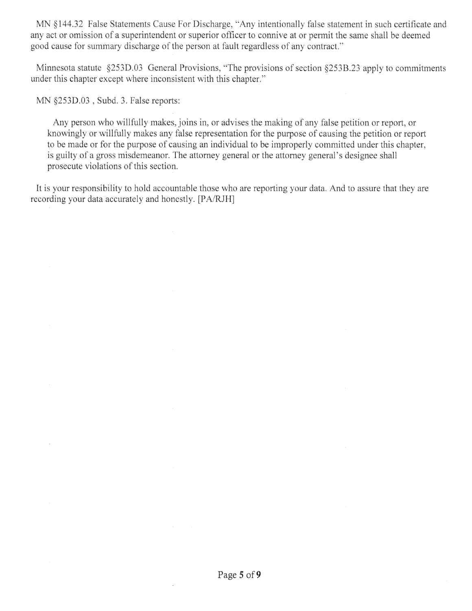MN §144.32 False Statements Cause For Discharge, "Any intentionally false statement in such certificate and any act or omission of a superintendent or superior officer to connive at or permit the same shall be deemed good cause for summary discharge of the person at fault regardless of any contract."

Minnesota statute §253D.03 General Provisions, "The provisions of section §253B.23 apply to commitments under this chapter except where inconsistent with this chapter."

MN §253D.03, Subd. 3. False reports:

Any person who willfully makes, joins *in,* or advises the making of any false petition or report, or knowingly or willfully makes any false representation for the purpose of causing the petition or report to be made or for the purpose of causing an individual to be improperly committed under this chapter, is guilty of a gross misdemeanor. The attorney general or the attorney general's designee shall prosecute violations of this section.

It is your responsibility to hold accountable those who are reporting your data. And to assure that they are recording your data accurately and honestly. [PA/RJH]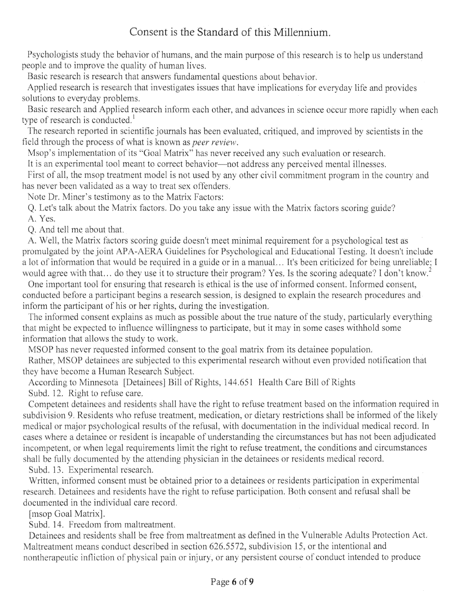## Consent is the Standard of this Millennium.

Psychologists study the behavior of humans, and the main purpose of this research is to help us understand people and to improve the quality of human lives.

Basic research is research that answers fundamental questions about behavior.

Applied research is research that investigates issues that have implications for everyday life and provides solutions to everyday problems.

Basic research and Applied research inform each other, and advances in science occur more rapidly when each type of research is conducted.<sup>1</sup>

The research reported in scientific journals has been evaluated, critiqued, and improved by scientists in the field through the process of what is known as *peer review.* 

Msop's implementation of its "Goal Matrix" has never received any such evaluation or research.

It is an experimental tool meant to correct behavior—not address any perceived mental illnesses.

First of all, the msop treatment model is not used by any other civil commitment program in the country and has never been validated as a way to treat sex offenders.

Note Dr. Miner's testimony as to the Matrix Factors:

Q. Let's talk about the Matrix factors. Do you take any issue with the Matrix factors scoring guide? A. Yes.

Q. And tell me about that.

A. Well, the Matrix factors scoring guide doesn't meet minimal requirement for a psychological test as promulgated by the joint APA-AERA Guidelines for Psychological and Educational Testing. It doesn't include a lot of information that would be required in a guide or in a manual... It's been criticized for being unreliable; I would agree with that... do they use it to structure their program? Yes. Is the scoring adequate? I don't know.<sup>2</sup>

One important tool for ensuring that research is ethical is the use of informed consent. Informed consent, conducted before a participant begins a research session, is designed to explain the research procedures and. inform the participant of his or her rights, during the investigation.

The informed consent explains as much as possible about the true nature of the study, particularly everything that might be expected to influence willingness to participate, but it may in some cases withhold some information that allows the study to work.

MSOP has never requested informed consent to the goal matrix from its detainee population.

Rather, MSOP detainees are subjected to this experimental research without even provided notification that they have become a Human Research Subject.

According to Minnesota [Detainees] Bill of Rights, 144.651 Health Care Bill of Rights

Subd. 12. Right to refuse care.

Competent detainees and residents shall have the right to refuse treatment based on the information required in subdivision 9. Residents who refuse treatment, medication, or dietary restrictions shall be informed of the likely medical or major psychological results of the refusal, with documentation in the individual medical record. In cases where a detainee or resident is incapable of understanding the circumstances but has not been adjudicated incompetent, or when legal requirements limit the right to refuse treatment, the conditions and circumstances shall be fully documented by the attending physician in the detainees or residents medical record.

Subd. 13. Experimental research.

Written, informed consent must be obtained prior to a detainees or residents participation in experimental research. Detainees and residents have the right to refuse participation. Both consent and refusal shall be documented in the individual care record.

[msop Goal Matrix].

Subd. 14. Freedom from maltreatment.

Detainees and residents shall be free from maltreatment as defined in the Vulnerable Adults Protection Act. Maltreatment means conduct described in section *626.5572,* subdivision *15,* or the intentional and nontherapeutic infliction of physical pain or injury, or any persistent course of conduct intended to produce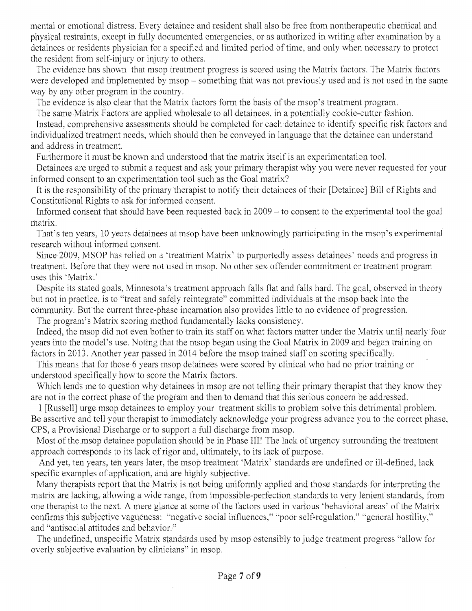mental or emotional distress. Every detainee and resident shall also be free from nontherapeutic chemical and physical restraints, except in fully documented emergencies, or as authorized in writing after examination by a detainees or residents physician for a specified and limited period of time, and only when necessary to protect the resident from self-injury or injury to others.

The evidence has shown that msop treatment progress is scored using the Matrix factors. The Matrix factors were developed and implemented by msop - something that was not previously used and is not used in the same way by any other program in the country.

The evidence is also clear that the Matrix factors form the basis of the msop's treatment program.

The same Matrix Factors are applied, wholesale to all detainees, in a potentially cookie-cutter fashion. Instead, comprehensive assessments should be completed for each detainee to identify specific risk factors and individualized treatment needs, which should then be conveyed in language that the detainee can understand and address in treatment.

Furthermore it must be known and understood that the matrix itself is an experimentation tool.

Detainees are urged to submit a request and ask your primary therapist why you were never requested for your informed consent to an experimentation tool such as the Goal matrix?

It is the responsibility of the primary therapist to notify their detainees of their [Detainee] Bill of Rights and Constitutional Rights to ask for informed consent.

Informed consent that should have been requested back in 2009 – to consent to the experimental tool the goal matrix.

That's ten years, 10 years detainees at msop have been unknowingly participating in the msop's experimental research without informed consent.

Since 2009, MSOP has relied on a 'treatment Matrix' to purportedly assess detainees' needs and progress in treatment. Before that they were not used in msop. No other sex offender commitment or treatment program uses this 'Matrix.'

Despite its stated goals, Minnesota's treatment approach falls flat and falls hard. The goal, observed in theory but not in practice, is to "treat and safely reintegrate" committed individuals at the msop back into the community. But the current three-phase incarnation also provides little to no evidence of progression.

The program's Matrix scoring method fundamentally lacks consistency.

Indeed, the msop did not even bother to train its staff on what factors matter under the Matrix until nearly four years into the model's use. Noting that the msop began using the Goal Matrix in 2009 and began training on factors in 2013. Another year passed in 2014 before the msop trained staff on scoring specifically.

This means that for those 6 years msop detainees were scored by clinical who had no prior training or understood specifically how to score the Matrix factors.

Which lends me to question why detainees in msop are not telling their primary therapist that they know they are not in the correct phase of the program and then to demand that this serious concern be addressed.

I [Russell] urge msop detainees to employ your treatment skills to problem solve this detrimental problem. Be assertive and tell your therapist to immediately acknowledge your progress advance you to the correct phase, CPS, a Provisional Discharge or to support a full discharge from msop.

Most of the msop detainee population should be in Phase III! The lack of urgency surrounding the treatment approach corresponds to its lack of rigor and, ultimately, to its lack of purpose.

And yet, ten years, ten years later, the msop treatment 'Matrix' standards are undefined or ill-defined, lack specific examples of application, and are highly subjective.

Many therapists report that the Matrix is not being uniformly applied and those standards for interpreting the matrix are lacking, allowing a wide range, from impossible-perfection standards to very lenient standards, from one therapist to the next. A mere glance at some of the factors used in various 'behavioral areas' of the Matrix confirms this subjective vagueness: "negative social influences," "poor self-regulation," "general hostility," and "antisocial attitudes and behavior."

The undefined, unspecific Matrix standards used by msop ostensibly to judge treatment progress "allow for overly subjective evaluation by clinicians" in msop.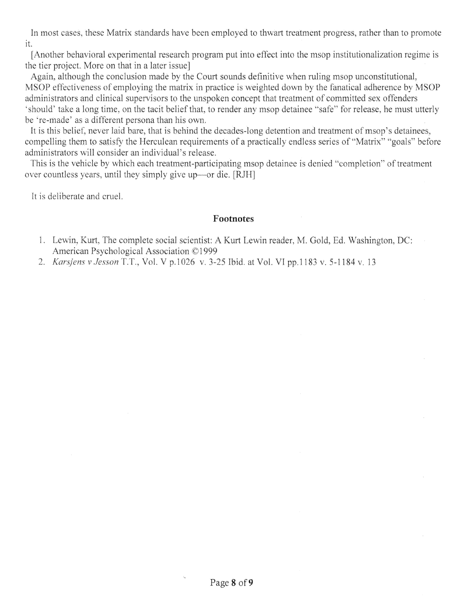In most cases, these Matrix standards have been employed to thwart treatment progress, rather than to promote it.

[Another behavioral experimental research program put into effect into the msop institutionalization regime is the tier project. More on that in a later issue]

Again, although the conclusion made by the Court sounds definitive when ruling msop unconstitutional, MSOP effectiveness of employing the matrix in practice is weighted down by the fanatical adherence by MSOP administrators and clinical supervisors to the unspoken concept that treatment of committed sex offenders 'should' take a long time, on the tacit belief that, to render any msop detainee "safe" for release, he must utterly be 're-made' as a different persona than his own.

It is this belief, never laid bare, that is behind the decades-long detention and treatment of msop's detainees, compelling them to satisfy the Herculean requirements of a practically endless series of "Matrix" "goals" before administrators will consider an individual's release.

This is the vehicle by which each treatment-participating msop detainee is denied "completion" of treatment over countless years, until they simply give up—or die. [RJH]

It is deliberate and cruel.

#### Footnotes

- 1. Lewin, Kurt, The complete social scientist: A Kurt Lewin reader, M. Gold, Ed. Washington, DC: American Psychological Association ©1999
- *Karsjens viesson T.T., Vol. V p.1026 v. 3-25* Ibid. at Vol. VI pp.1 183 v. *5-1184 v. 13*